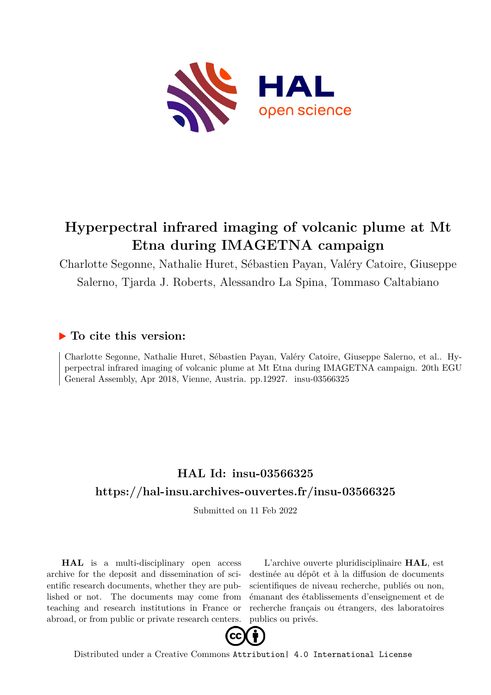

## **Hyperpectral infrared imaging of volcanic plume at Mt Etna during IMAGETNA campaign**

Charlotte Segonne, Nathalie Huret, Sébastien Payan, Valéry Catoire, Giuseppe Salerno, Tjarda J. Roberts, Alessandro La Spina, Tommaso Caltabiano

## **To cite this version:**

Charlotte Segonne, Nathalie Huret, Sébastien Payan, Valéry Catoire, Giuseppe Salerno, et al.. Hyperpectral infrared imaging of volcanic plume at Mt Etna during IMAGETNA campaign. 20th EGU General Assembly, Apr 2018, Vienne, Austria. pp.12927. insu-03566325

## **HAL Id: insu-03566325 <https://hal-insu.archives-ouvertes.fr/insu-03566325>**

Submitted on 11 Feb 2022

**HAL** is a multi-disciplinary open access archive for the deposit and dissemination of scientific research documents, whether they are published or not. The documents may come from teaching and research institutions in France or abroad, or from public or private research centers.

L'archive ouverte pluridisciplinaire **HAL**, est destinée au dépôt et à la diffusion de documents scientifiques de niveau recherche, publiés ou non, émanant des établissements d'enseignement et de recherche français ou étrangers, des laboratoires publics ou privés.



Distributed under a Creative Commons [Attribution| 4.0 International License](http://creativecommons.org/licenses/by/4.0/)